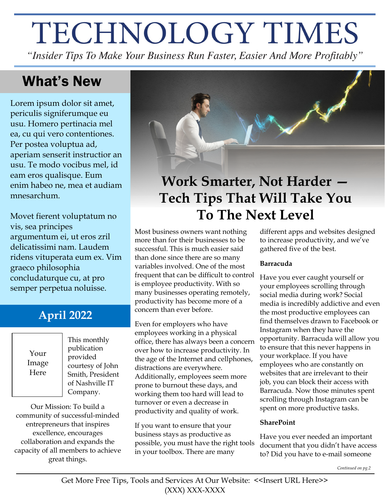# TECHNOLOGY TIMES

"Insider Tips To Make Your Business Run Faster, Easier And More Profitably"

### What's New

Lorem ipsum dolor sit amet, periculis signiferumque eu usu. Homero pertinacia mel ea, cu qui vero contentiones. Per postea voluptua ad, aperiam senserit instructior an usu. Te modo vocibus mel, id eam eros qualisque. Eum enim habeo ne, mea et audiam mnesarchum.

Movet fierent voluptatum no vis, sea principes argumentum ei, ut eros zril delicatissimi nam. Laudem ridens vituperata eum ex. Vim graeco philosophia concludaturque cu, at pro semper perpetua noluisse.

### **April 2022**

Your Image Here

This monthly publication provided courtesy of John Smith, President of Nashville IT Company.

Our Mission: To build a community of successful-minded entrepreneurs that inspires excellence, encourages collaboration and expands the capacity of all members to achieve great things.



# **Work Smarter, Not Harder — Tech Tips That Will Take You To The Next Level**

Most business owners want nothing more than for their businesses to be successful. This is much easier said than done since there are so many variables involved. One of the most frequent that can be difficult to control is employee productivity. With so many businesses operating remotely, productivity has become more of a concern than ever before.

Even for employers who have employees working in a physical office, there has always been a concern over how to increase productivity. In the age of the Internet and cellphones, distractions are everywhere. Additionally, employees seem more prone to burnout these days, and working them too hard will lead to turnover or even a decrease in productivity and quality of work.

If you want to ensure that your business stays as productive as possible, you must have the right tools in your toolbox. There are many

different apps and websites designed to increase productivity, and we've gathered five of the best.

#### **Barracuda**

Have you ever caught yourself or your employees scrolling through social media during work? Social media is incredibly addictive and even the most productive employees can find themselves drawn to Facebook or Instagram when they have the opportunity. Barracuda will allow you to ensure that this never happens in your workplace. If you have employees who are constantly on websites that are irrelevant to their job, you can block their access with Barracuda. Now those minutes spent scrolling through Instagram can be spent on more productive tasks.

#### **SharePoint**

Have you ever needed an important document that you didn't have access to? Did you have to e-mail someone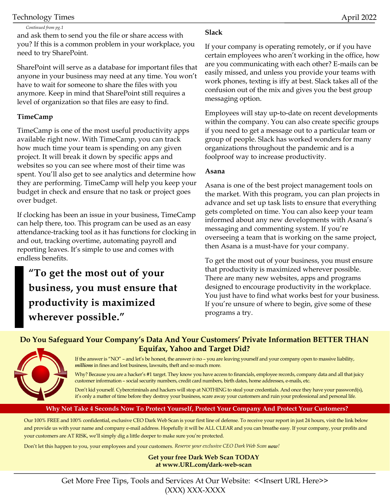#### Technology Times April 2022

#### *Continued from pg.1*

and ask them to send you the file or share access with you? If this is a common problem in your workplace, you need to try SharePoint.

SharePoint will serve as a database for important files that anyone in your business may need at any time. You won't have to wait for someone to share the files with you anymore. Keep in mind that SharePoint still requires a level of organization so that files are easy to find.

#### **TimeCamp**

TimeCamp is one of the most useful productivity apps available right now. With TimeCamp, you can track how much time your team is spending on any given project. It will break it down by specific apps and websites so you can see where most of their time was spent. You'll also get to see analytics and determine how they are performing. TimeCamp will help you keep your budget in check and ensure that no task or project goes over budget.

If clocking has been an issue in your business, TimeCamp can help there, too. This program can be used as an easy attendance-tracking tool as it has functions for clocking in and out, tracking overtime, automating payroll and reporting leaves. It's simple to use and comes with endless benefits.

**"To get the most out of your business, you must ensure that productivity is maximized wherever possible."**

#### **Slack**

If your company is operating remotely, or if you have certain employees who aren't working in the office, how are you communicating with each other? E-mails can be easily missed, and unless you provide your teams with work phones, texting is iffy at best. Slack takes all of the confusion out of the mix and gives you the best group messaging option.

Employees will stay up-to-date on recent developments within the company. You can also create specific groups if you need to get a message out to a particular team or group of people. Slack has worked wonders for many organizations throughout the pandemic and is a foolproof way to increase productivity.

#### **Asana**

Asana is one of the best project management tools on the market. With this program, you can plan projects in advance and set up task lists to ensure that everything gets completed on time. You can also keep your team informed about any new developments with Asana's messaging and commenting system. If you're overseeing a team that is working on the same project, then Asana is a must-have for your company.

To get the most out of your business, you must ensure that productivity is maximized wherever possible. There are many new websites, apps and programs designed to encourage productivity in the workplace. You just have to find what works best for your business. If you're unsure of where to begin, give some of these programs a try.

#### **Do You Safeguard Your Company's Data And Your Customers' Private Information BETTER THAN Equifax, Yahoo and Target Did?**



If the answer is "NO" – and let's be honest, the answer *is* no – you are leaving yourself and your company open to massive liability, *millions* in fines and lost business, lawsuits, theft and so much more.

Why? Because you are a hacker's #1 target. They know you have access to financials, employee records, company data and all that juicy customer information – social security numbers, credit card numbers, birth dates, home addresses, e-mails, etc.

Don't kid yourself. Cybercriminals and hackers will stop at NOTHING to steal your credentials. And once they have your password(s), it's only a matter of time before they destroy your business, scare away your customers and ruin your professional and personal life.

#### **Why Not Take 4 Seconds Now To Protect Yourself, Protect Your Company And Protect Your Customers?**

Our 100% FREE and 100% confidential, exclusive CEO Dark Web Scan is your first line of defense. To receive your report in just 24 hours, visit the link below and provide us with your name and company e-mail address. Hopefully it will be ALL CLEAR and you can breathe easy. If your company, your profits and your customers are AT RISK, we'll simply dig a little deeper to make sure you're protected.

Don't let this happen to you, your employees and your customers. *Reserve your exclusive CEO Dark Web Scan now!*

#### **Get your free Dark Web Scan TODAY at www.URL.com/dark-web-scan**

Get More Free Tips, Tools and Services At Our Website: <<Insert URL Here>> (XXX) XXX-XXXX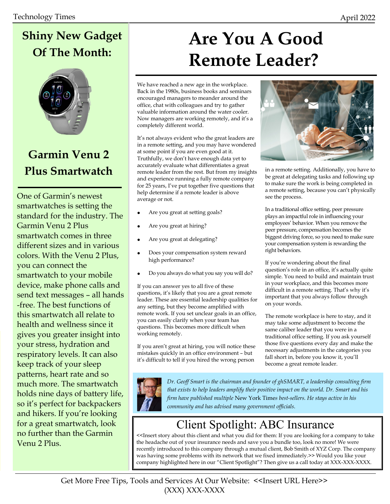# **Shiny New Gadget Of The Month:**



### **Garmin Venu 2 Plus Smartwatch**

One of Garmin's newest smartwatches is setting the standard for the industry. The Garmin Venu 2 Plus smartwatch comes in three different sizes and in various colors. With the Venu 2 Plus, you can connect the smartwatch to your mobile device, make phone calls and send text messages – all hands -free. The best functions of this smartwatch all relate to health and wellness since it gives you greater insight into your stress, hydration and respiratory levels. It can also keep track of your sleep patterns, heart rate and so much more. The smartwatch holds nine days of battery life, so it's perfect for backpackers and hikers. If you're looking for a great smartwatch, look no further than the Garmin Venu 2 Plus.

# **Are You A Good Remote Leader?**

We have reached a new age in the workplace. Back in the 1980s, business books and seminars encouraged managers to meander around the office, chat with colleagues and try to gather valuable information around the water cooler. Now managers are working remotely, and it's a completely different world.

It's not always evident who the great leaders are in a remote setting, and you may have wondered at some point if you are even good at it. Truthfully, we don't have enough data yet to accurately evaluate what differentiates a great remote leader from the rest. But from my insights and experience running a fully remote company for 25 years, I've put together five questions that help determine if a remote leader is above average or not.

- Are you great at setting goals?
- Are you great at hiring?
- Are you great at delegating?
- Does your compensation system reward high performance?
- Do you always do what you say you will do?

If you can answer yes to all five of these questions, it's likely that you are a great remote leader. These are essential leadership qualities for any setting, but they become amplified with remote work. If you set unclear goals in an office, you can easily clarify when your team has questions. This becomes more difficult when working remotely.

If you aren't great at hiring, you will notice these mistakes quickly in an office environment – but it's difficult to tell if you hired the wrong person



in a remote setting. Additionally, you have to be great at delegating tasks and following up to make sure the work is being completed in a remote setting, because you can't physically see the process.

In a traditional office setting, peer pressure plays an impactful role in influencing your employees' behavior. When you remove the peer pressure, compensation becomes the biggest driving force, so you need to make sure your compensation system is rewarding the right behaviors.

If you're wondering about the final question's role in an office, it's actually quite simple. You need to build and maintain trust in your workplace, and this becomes more difficult in a remote setting. That's why it's important that you always follow through on your words.

The remote workplace is here to stay, and it may take some adjustment to become the same caliber leader that you were in a traditional office setting. If you ask yourself those five questions every day and make the necessary adjustments in the categories you fall short in, before you know it, you'll become a great remote leader.



*Dr. Geoff Smart is the chairman and founder of ghSMART, a leadership consulting firm that exists to help leaders amplify their positive impact on the world. Dr. Smart and his firm have published multiple* New York Time*s best-sellers. He stays active in his community and has advised many government officials.*

### Client Spotlight: ABC Insurance

<<Insert story about this client and what you did for them: If you are looking for a company to take the headache out of your insurance needs and save you a bundle too, look no more! We were recently introduced to this company through a mutual client, Bob Smith of XYZ Corp. The company was having some problems with its network that we fixed immediately.>> Would you like your company highlighted here in our "Client Spotlight"? Then give us a call today at XXX-XXX-XXXX.